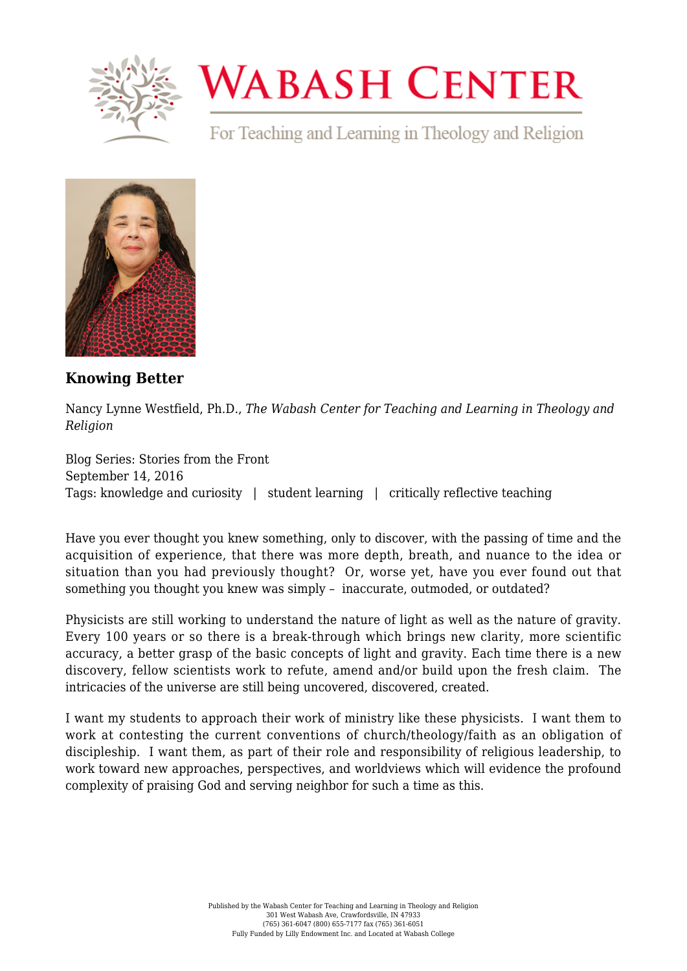

## **WABASH CENTER**

For Teaching and Learning in Theology and Religion



**[Knowing Better](https://www.wabashcenter.wabash.edu/2016/09/knowing-better/)**

Nancy Lynne Westfield, Ph.D., *The Wabash Center for Teaching and Learning in Theology and Religion*

Blog Series: Stories from the Front September 14, 2016 Tags: knowledge and curiosity | student learning | critically reflective teaching

Have you ever thought you knew something, only to discover, with the passing of time and the acquisition of experience, that there was more depth, breath, and nuance to the idea or situation than you had previously thought? Or, worse yet, have you ever found out that something you thought you knew was simply – inaccurate, outmoded, or outdated?

Physicists are still working to understand the nature of light as well as the nature of gravity. Every 100 years or so there is a break-through which brings new clarity, more scientific accuracy, a better grasp of the basic concepts of light and gravity. Each time there is a new discovery, fellow scientists work to refute, amend and/or build upon the fresh claim. The intricacies of the universe are still being uncovered, discovered, created.

I want my students to approach their work of ministry like these physicists. I want them to work at contesting the current conventions of church/theology/faith as an obligation of discipleship. I want them, as part of their role and responsibility of religious leadership, to work toward new approaches, perspectives, and worldviews which will evidence the profound complexity of praising God and serving neighbor for such a time as this.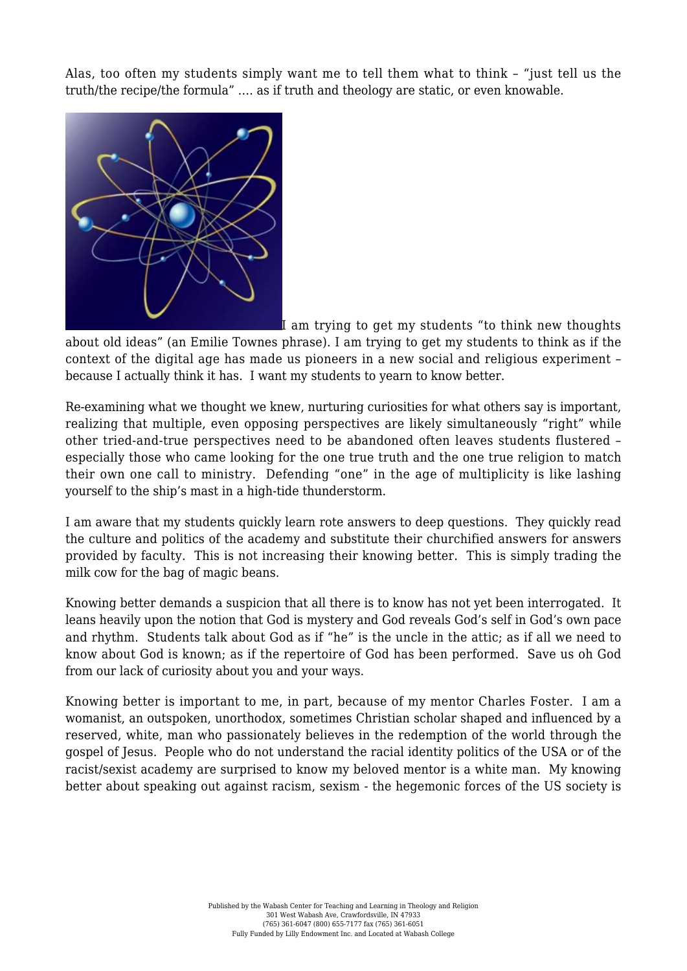Alas, too often my students simply want me to tell them what to think – "just tell us the truth/the recipe/the formula" …. as if truth and theology are static, or even knowable.



I am trying to get my students "to think new thoughts

about old ideas" (an Emilie Townes phrase). I am trying to get my students to think as if the context of the digital age has made us pioneers in a new social and religious experiment – because I actually think it has. I want my students to yearn to know better.

Re-examining what we thought we knew, nurturing curiosities for what others say is important, realizing that multiple, even opposing perspectives are likely simultaneously "right" while other tried-and-true perspectives need to be abandoned often leaves students flustered – especially those who came looking for the one true truth and the one true religion to match their own one call to ministry. Defending "one" in the age of multiplicity is like lashing yourself to the ship's mast in a high-tide thunderstorm.

I am aware that my students quickly learn rote answers to deep questions. They quickly read the culture and politics of the academy and substitute their churchified answers for answers provided by faculty. This is not increasing their knowing better. This is simply trading the milk cow for the bag of magic beans.

Knowing better demands a suspicion that all there is to know has not yet been interrogated. It leans heavily upon the notion that God is mystery and God reveals God's self in God's own pace and rhythm. Students talk about God as if "he" is the uncle in the attic; as if all we need to know about God is known; as if the repertoire of God has been performed. Save us oh God from our lack of curiosity about you and your ways.

Knowing better is important to me, in part, because of my mentor Charles Foster. I am a womanist, an outspoken, unorthodox, sometimes Christian scholar shaped and influenced by a reserved, white, man who passionately believes in the redemption of the world through the gospel of Jesus. People who do not understand the racial identity politics of the USA or of the racist/sexist academy are surprised to know my beloved mentor is a white man. My knowing better about speaking out against racism, sexism - the hegemonic forces of the US society is